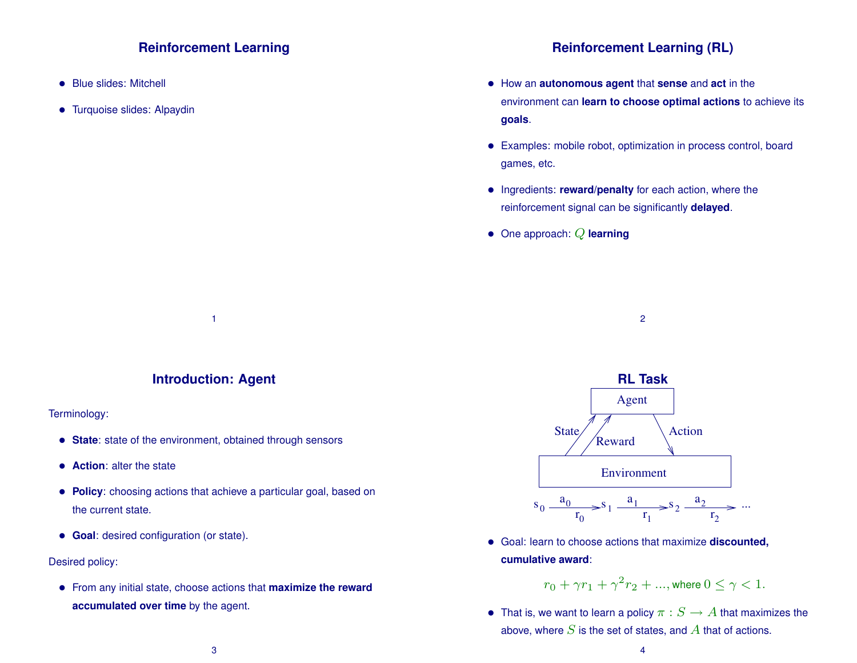## **Reinforcement Learning**

- Blue slides: Mitchell
- Turquoise slides: Alpaydin

### **Reinforcement Learning (RL)**

- How an **autonomous agent** that **sense** and **act** in the environment can **learn to choose optimal actions** to achieve its **goals**.
- Examples: mobile robot, optimization in process control, board games, etc.
- Ingredients: **reward/penalty** for each action, where the reinforcement signal can be significantly **delayed**.
- One approach: Q **learning**

**Introduction: Agent**

1

#### Terminology:

- **State**: state of the environment, obtained through sensors
- **Action**: alter the state
- **Policy**: choosing actions that achieve a particular goal, based on the current state.
- **Goal**: desired configuration (or state).

#### Desired policy:

• From any initial state, choose actions that **maximize the reward accumulated over time** by the agent.



2

• Goal: learn to choose actions that maximize **discounted, cumulative award**:

 $r_0 + \gamma r_1 + \gamma^2 r_2 + ...,$  where  $0 \leq \gamma < 1$ .

• That is, we want to learn a policy  $\pi : S \to A$  that maximizes the above, where  $S$  is the set of states, and  $A$  that of actions.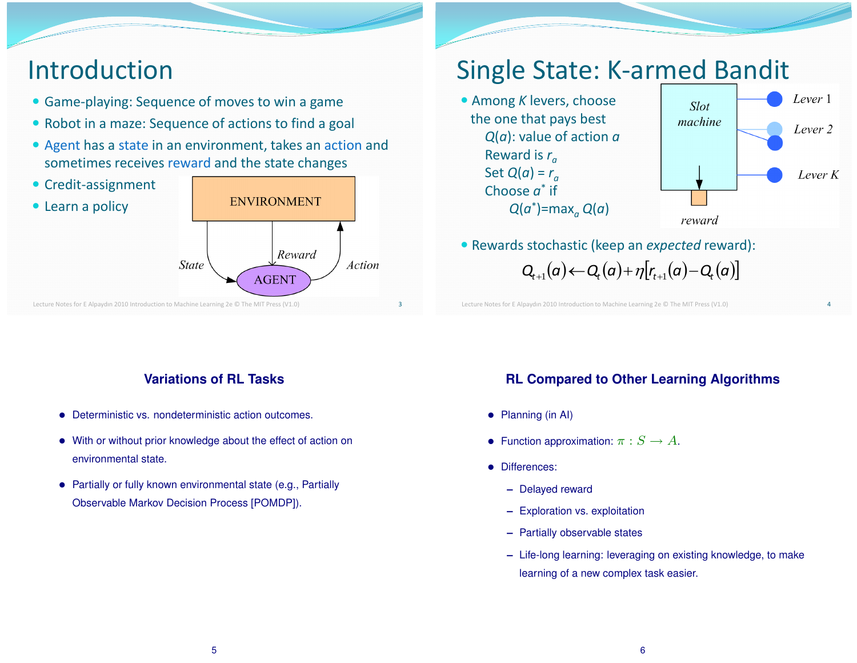# Introduction

- Game-playing: Sequence of moves to win a game
- Robot in a maze: Sequence of actions to find a goal
- Agent has a state in an environment, takes an action and sometimes receives reward and the state changes



## Single State: K-armed Bandit

 Among *K* levers, choose the one that pays best *Q*(*a*): value of action *a* Reward is *r<sup>a</sup>* Set  $Q(a) = r_a$ Choose  $a^*$  if *Q*(*a* \* )=max*<sup>a</sup> Q*(*a*)



4

 $Q_{t+1}(a) \leftarrow Q_t(a) + \eta[r_{t+1}(a) - Q_t(a)]$ Rewards stochastic (keep an *expected* reward):

Lecture Notes for E Alpaydın 2010 Introduction to Machine Learning 2e © The MIT Press (V1.0)

## **Variations of RL Tasks**

- Deterministic vs. nondeterministic action outcomes.
- With or without prior knowledge about the effect of action on environmental state.
- Partially or fully known environmental state (e.g., Partially Observable Markov Decision Process [POMDP]).

## **RL Compared to Other Learning Algorithms**

- Planning (in AI)
- Function approximation:  $\pi : S \to A$ .
- Differences:
	- **–** Delayed reward
	- **–** Exploration vs. exploitation
	- **–** Partially observable states
	- **–** Life-long learning: leveraging on existing knowledge, to make learning of a new complex task easier.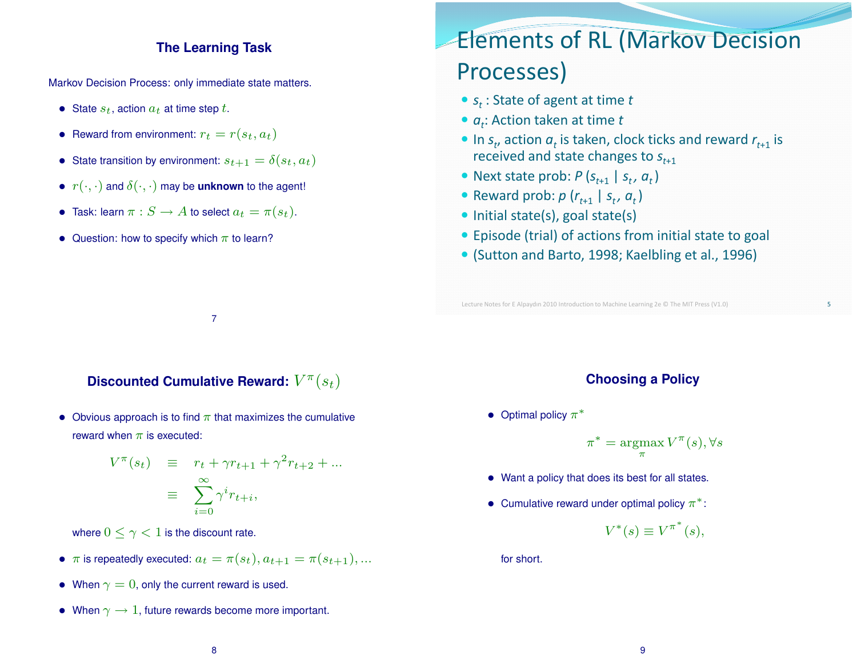### **The Learning Task**

Markov Decision Process: only immediate state matters.

- State  $s_t$ , action  $a_t$  at time step t.
- Reward from environment:  $r_t = r(s_t, a_t)$
- State transition by environment:  $s_{t+1} = \delta(s_t, a_t)$
- $r(\cdot, \cdot)$  and  $\delta(\cdot, \cdot)$  may be **unknown** to the agent!
- Task: learn  $\pi : S \to A$  to select  $a_t = \pi(s_t)$ .
- Question: how to specify which  $\pi$  to learn?

# Elements of RL (Markov Decision Processes)

- *s<sup>t</sup>* : State of agent at time *t*
- *at*: Action taken at time *t*
- In  $s_t$ , action  $a_t$  is taken, clock ticks and reward  $r_{t+1}$  is received and state changes to *st*+1
- Next state prob:  $P(S_{t+1} | S_t, a_t)$
- Reward prob:  $p(r_{t+1} | s_t, a_t)$
- $\bullet$  Initial state(s), goal state(s)
- Episode (trial) of actions from initial state to goal
- (Sutton and Barto, 1998; Kaelbling et al., 1996)

Lecture Notes for E Alpaydın 2010 Introduction to Machine Learning 2e © The MIT Press (V1.0)

Discounted Cumulative Reward:  $V^{\pi}(s_t)$ 

7

• Obvious approach is to find  $\pi$  that maximizes the cumulative reward when  $\pi$  is executed:

$$
V^{\pi}(s_t) \equiv r_t + \gamma r_{t+1} + \gamma^2 r_{t+2} + \dots
$$

$$
\equiv \sum_{i=0}^{\infty} \gamma^i r_{t+i},
$$

where  $0 \leq \gamma < 1$  is the discount rate.

- $\pi$  is repeatedly executed:  $a_t = \pi(s_t), a_{t+1} = \pi(s_{t+1}), \dots$
- When  $\gamma = 0$ , only the current reward is used.
- When  $\gamma \rightarrow 1$ , future rewards become more important.

### **Choosing a Policy**

• Optimal policy  $\pi^*$ 

 $\pi^* = \text{argmax}$ π  $V^{\pi}(s), \forall s$ 

- Want a policy that does its best for all states.
- Cumulative reward under optimal policy  $\pi^*$ :

$$
V^*(s) \equiv V^{\pi^*}(s),
$$

for short.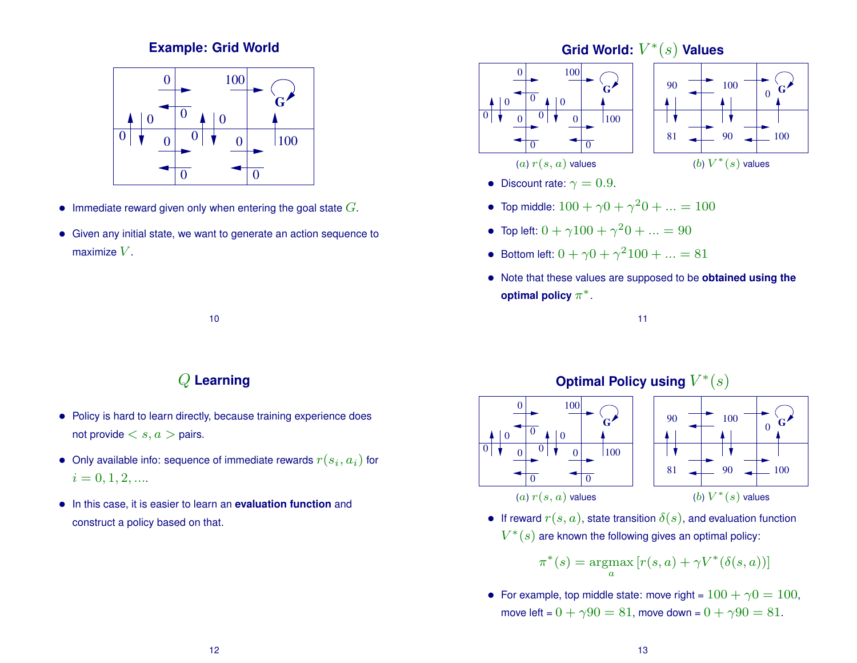## **Example: Grid World**



- Immediate reward given only when entering the goal state  $G$ .
- Given any initial state, we want to generate an action sequence to maximize  $V$ .



- Discount rate:  $\gamma = 0.9$ .
- Top middle:  $100 + \gamma 0 + \gamma^2 0 + ... = 100$
- Top left:  $0 + \gamma 100 + \gamma^2 0 + ... = 90$
- Bottom left:  $0 + \gamma 0 + \gamma^2 100 + ... = 81$
- Note that these values are supposed to be **obtained using the optimal policy**  $\pi^*$ .





(a)  $r(s, a)$  values



• If reward  $r(s, a)$ , state transition  $\delta(s)$ , and evaluation function  $V^{\ast}(s)$  are known the following gives an optimal policy:

$$
\pi^*(s) = \operatorname*{argmax}_a [r(s, a) + \gamma V^*(\delta(s, a))]
$$

• For example, top middle state: move right =  $100 + \gamma 0 = 100$ , move left =  $0 + \gamma 90 = 81$ , move down =  $0 + \gamma 90 = 81$ .

## Q **Learning**

10

- Policy is hard to learn directly, because training experience does not provide  $\langle s, a \rangle$  pairs.
- $\bullet\,$  Only available info: sequence of immediate rewards  $r(s_i,a_i)$  for  $i = 0, 1, 2, \dots$
- In this case, it is easier to learn an **evaluation function** and construct a policy based on that.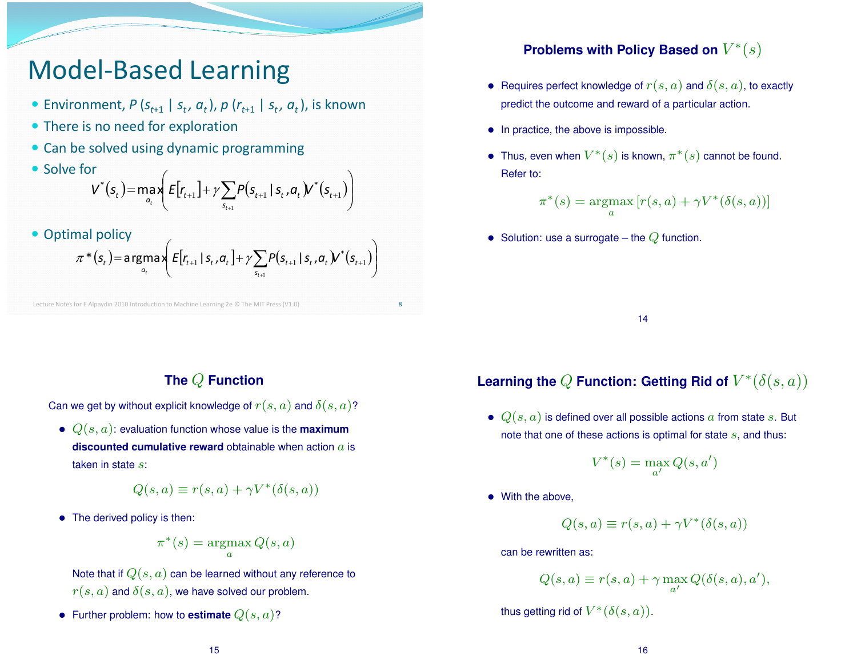# Model-Based Learning

- Environment,  $P(S_{t+1} | S_t, a_t)$ ,  $p(r_{t+1} | S_t, a_t)$ , is known
- There is no need for exploration
- Can be solved using dynamic programming
- Solve for  $(s_t)$ = max  $\left| E[r_{t+1}] + \gamma \sum P(s_{t+1} | s_t, a_t) Y^*(s_{t+1}) \right|$ J  $\backslash$  $\parallel$  $\backslash$ ſ  $=$ max $E[r_{t+1}] + \gamma \sum P(s_{t+1} | s_t, a_t) \mathcal{V}^*(s_{t+1})$  $^{+}$  $1$ ]  $\top$  /  $\sum$   $\Gamma$  (3<sub>t+1</sub> | 3<sub>t</sub>,  $u_t$   $\mu$   $\Gamma$  (3<sub>t+1</sub>) 1 *t s*  $V^*(s_t) = \max_{a_t} E[r_{t+1}] + \gamma \sum_{i=1}^{n} P(s_{t+1} | s_t, a_t) V^*(s_t)$ *t f f s<sub>t</sub>*  $f^*(s_t)$  = max  $E[r_{t+1}] + \gamma \sum P(s_{t+1} | s_t, a_t) \ell^*$
- Optimal policy

$$
\pi^{*}(s_{t}) = \underset{a_{t}}{\arg\max} \left( E[r_{t+1} | s_{t}, a_{t}] + \gamma \sum_{s_{t+1}} P(s_{t+1} | s_{t}, a_{t}) V^{*}(s_{t+1}) \right)
$$

Lecture Notes for E Alpaydın 2010 Introduction to Machine Learning 2e © The MIT Press (V1.0)

## **Problems with Policy Based on**  $V^*(s)$

- Requires perfect knowledge of  $r(s, a)$  and  $\delta(s, a)$ , to exactly predict the outcome and reward of a particular action.
- In practice, the above is impossible.
- Thus, even when  $V^*(s)$  is known,  $\pi^*(s)$  cannot be found. Refer to:

$$
\pi^*(s) = \operatorname*{argmax}_a [r(s, a) + \gamma V^*(\delta(s, a))]
$$

• Solution: use a surrogate – the  $Q$  function.

14

## **The** Q **Function**

Can we get by without explicit knowledge of  $r(s, a)$  and  $\delta(s, a)$ ?

 $\bullet$   $Q(s, a)$ : evaluation function whose value is the **maximum discounted cumulative reward** obtainable when action a is taken in state s:

$$
Q(s, a) \equiv r(s, a) + \gamma V^*(\delta(s, a))
$$

• The derived policy is then:

$$
\pi^*(s) = \operatorname*{argmax}_a Q(s, a)
$$

Note that if  $Q(s, a)$  can be learned without any reference to  $r(s, a)$  and  $\delta(s, a)$ , we have solved our problem.

• Further problem: how to **estimate**  $Q(s, a)$ ?

## Learning the  $Q$  Function: Getting Rid of  $V^*(\delta(s,a))$

•  $Q(s, a)$  is defined over all possible actions a from state s. But note that one of these actions is optimal for state  $s$ , and thus:

$$
V^*(s) = \max_{a'} Q(s, a')
$$

• With the above.

8

$$
Q(s, a) \equiv r(s, a) + \gamma V^*(\delta(s, a))
$$

can be rewritten as:

$$
Q(s, a) \equiv r(s, a) + \gamma \max_{a'} Q(\delta(s, a), a'),
$$

thus getting rid of  $V^*(\delta(s,a)).$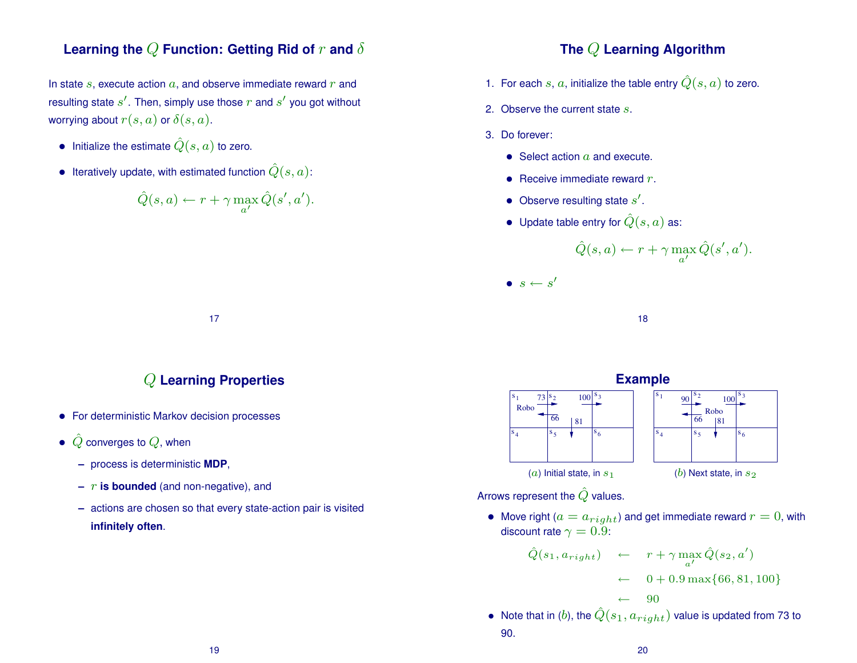## **Learning the**  $Q$  **Function: Getting Rid of**  $r$  **and**  $\delta$

In state  $s$ , execute action  $a$ , and observe immediate reward  $r$  and resulting state  $s'.$  Then, simply use those  $r$  and  $s'$  you got without worrying about  $r(s, a)$  or  $\delta(s, a)$ .

- Initialize the estimate  $\hat{Q}(s, a)$  to zero.
- Iteratively update, with estimated function  $\hat{Q}(s, a)$ :

$$
\hat{Q}(s, a) \leftarrow r + \gamma \max_{a'} \hat{Q}(s', a').
$$

## Q **Learning Properties**

17

- For deterministic Markov decision processes
- $\hat{Q}$  converges to  $Q$ , when
	- **–** process is deterministic **MDP**,
	- $r$  **is bounded** (and non-negative), and
	- **–** actions are chosen so that every state-action pair is visited **infinitely often**.
- 1. For each s, a, initialize the table entry  $\hat{Q}(s, a)$  to zero.
- 2. Observe the current state s.
- 3. Do forever:
	- Select action  $a$  and execute.
	- Receive immediate reward  $r$ .
	- Observe resulting state  $s'$ .
	- Update table entry for  $\hat{Q}(s, a)$  as:

$$
\hat{Q}(s, a) \leftarrow r + \gamma \max_{a'} \hat{Q}(s', a').
$$

 $\bullet \ \ s \leftarrow s'$ 

18

#### **Example** s 1 s 2 s 3 s 4 s 5 s 6 Robo 73 81  $100^{\text{S}_3}$  s 1 s 2 s 3 s 5  $\overline{s}_4$ s 6 Robo  $|81$  $100<sup>1</sup>$ (a) Initial state, in  $s_1$  (b) Next state, in  $s_2$

Arrows represent the  $\hat{Q}$  values.

90.

• Move right ( $a = a_{right}$ ) and get immediate reward  $r = 0$ , with discount rate  $\gamma = 0.9$ :

$$
\hat{Q}(s_1, a_{right}) \leftarrow r + \gamma \max_{a'} \hat{Q}(s_2, a')
$$
\n
$$
\leftarrow 0 + 0.9 \max\{66, 81, 100\}
$$
\n
$$
\leftarrow 90
$$
\nNote that in (b), the  $\hat{Q}(s_1, a_{right})$  value is updated from 73 to

19

20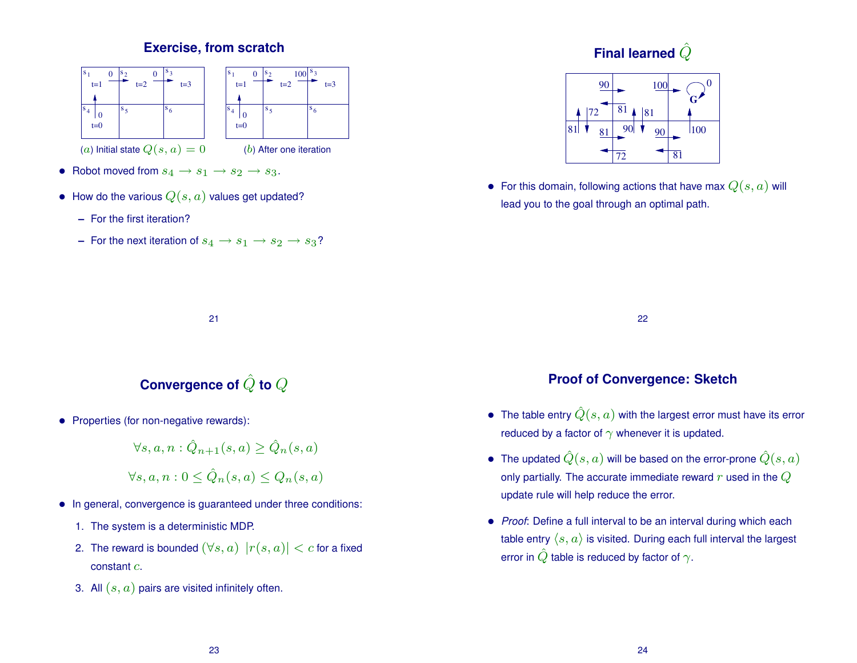## **Exercise, from scratch**



- Robot moved from  $s_4 \rightarrow s_1 \rightarrow s_2 \rightarrow s_3$ .
- How do the various  $Q(s, a)$  values get updated?
	- **–** For the first iteration?
	- **–** For the next iteration of  $s_4 \rightarrow s_1 \rightarrow s_2 \rightarrow s_3$ ?

## Final learned  $\hat{Q}$



• For this domain, following actions that have max  $Q(s, a)$  will lead you to the goal through an optimal path.

22

## **Proof of Convergence: Sketch**

- The table entry  $\hat{Q}(s, a)$  with the largest error must have its error reduced by a factor of  $\gamma$  whenever it is updated.
- The updated  $\hat{Q}(s, a)$  will be based on the error-prone  $\hat{Q}(s, a)$ only partially. The accurate immediate reward  $r$  used in the  $Q$ update rule will help reduce the error.
- *Proof*: Define a full interval to be an interval during which each table entry  $\langle s, a \rangle$  is visited. During each full interval the largest error in  $\hat{Q}$  table is reduced by factor of  $\gamma$ .

#### 21

## Convergence of  $\hat{Q}$  to  $Q$

• Properties (for non-negative rewards):

$$
\forall s,a,n: \hat{Q}_{n+1}(s,a) \geq \hat{Q}_n(s,a)
$$

$$
\forall s, a, n: 0 \leq \hat{Q}_n(s, a) \leq Q_n(s, a)
$$

- In general, convergence is guaranteed under three conditions:
	- 1. The system is a deterministic MDP.
	- 2. The reward is bounded  $(\forall s, a) |r(s, a)| < c$  for a fixed constant c.
	- 3. All  $(s, a)$  pairs are visited infinitely often.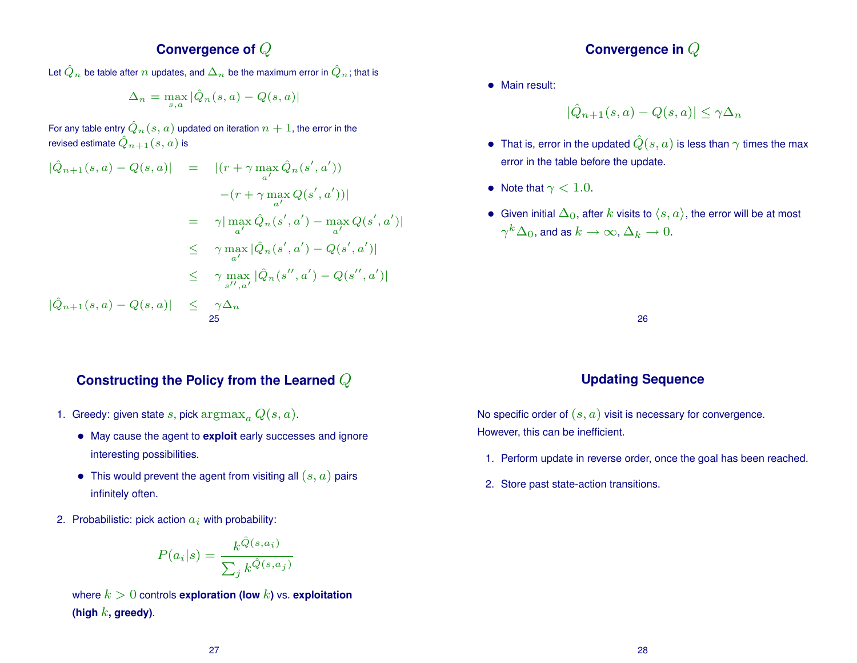## **Convergence of** Q

Let  $\hat{Q}_n$  be table after  $n$  updates, and  $\Delta_n$  be the maximum error in  $\hat{Q}_n$  ; that is

$$
\Delta_n = \max_{s,a} |\hat{Q}_n(s,a) - Q(s,a)|
$$

For any table entry  $\hat{Q}_n(s,a)$  updated on iteration  $n+1$ , the error in the revised estimate  $\hat{Q}_{n+1}(s,a)$  is

$$
|\hat{Q}_{n+1}(s, a) - Q(s, a)| = |(r + \gamma \max_{a'} \hat{Q}_n(s', a'))|
$$
  
\n
$$
- (r + \gamma \max_{a'} Q(s', a'))|
$$
  
\n
$$
= \gamma |\max_{a'} \hat{Q}_n(s', a') - \max_{a'} Q(s', a')|
$$
  
\n
$$
\leq \gamma \max_{a'} |\hat{Q}_n(s', a') - Q(s', a')|
$$
  
\n
$$
\leq \gamma \max_{s'', a'} |\hat{Q}_n(s'', a') - Q(s'', a')|
$$
  
\n
$$
|\hat{Q}_{n+1}(s, a) - Q(s, a)| \leq \gamma \Delta_n
$$
  
\n25

## **Constructing the Policy from the Learned** Q

- 1. Greedy: given state s, pick  $\arg \max_a Q(s, a)$ .
	- May cause the agent to **exploit** early successes and ignore interesting possibilities.
	- This would prevent the agent from visiting all  $(s, a)$  pairs infinitely often.
- 2. Probabilistic: pick action  $a_i$  with probability:

$$
P(a_i|s) = \frac{k^{\hat{Q}(s,a_i)}}{\sum_j k^{\hat{Q}(s,a_j)}}
$$

where  $k > 0$  controls **exploration (low** k) vs. **exploitation** (high  $k$ , greedy).

## **Convergence in** Q

• Main result:

$$
|\hat{Q}_{n+1}(s,a) - Q(s,a)| \le \gamma \Delta_n
$$

- That is, error in the updated  $\hat{Q}(s, a)$  is less than  $\gamma$  times the max error in the table before the update.
- Note that  $\gamma < 1.0$ .
- Given initial  $\Delta_0$ , after k visits to  $\langle s, a \rangle$ , the error will be at most  $\gamma^k \Delta_0$ , and as  $k \to \infty$ ,  $\Delta_k \to 0$ .

26

## **Updating Sequence**

No specific order of  $(s, a)$  visit is necessary for convergence. However, this can be inefficient.

- 1. Perform update in reverse order, once the goal has been reached.
- 2. Store past state-action transitions.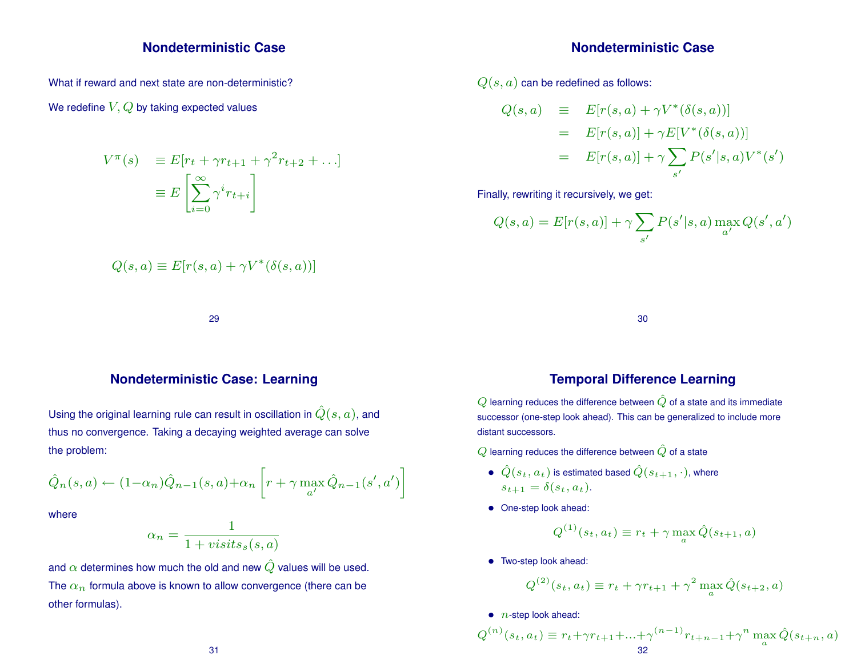### **Nondeterministic Case**

What if reward and next state are non-deterministic?

### We redefine  $V, Q$  by taking expected values

$$
V^{\pi}(s) \equiv E[r_t + \gamma r_{t+1} + \gamma^2 r_{t+2} + \ldots]
$$

$$
\equiv E\left[\sum_{i=0}^{\infty} \gamma^i r_{t+i}\right]
$$

$$
Q(s, a) \equiv E[r(s, a) + \gamma V^*(\delta(s, a))]
$$

29

### **Nondeterministic Case: Learning**

Using the original learning rule can result in oscillation in  $\hat{Q}(s, a)$ , and thus no convergence. Taking a decaying weighted average can solve the problem:

$$
\hat{Q}_n(s, a) \leftarrow (1-\alpha_n)\hat{Q}_{n-1}(s, a) + \alpha_n \left[ r + \gamma \max_{a'} \hat{Q}_{n-1}(s', a') \right]
$$

where

$$
\alpha_n = \frac{1}{1 + \text{visits}_s(s, a)}
$$

and  $\alpha$  determines how much the old and new  $\hat{Q}$  values will be used. The  $\alpha_n$  formula above is known to allow convergence (there can be other formulas).

### **Nondeterministic Case**

 $Q(s, a)$  can be redefined as follows:

$$
Q(s, a) \equiv E[r(s, a) + \gamma V^*(\delta(s, a))]
$$
  
= 
$$
E[r(s, a)] + \gamma E[V^*(\delta(s, a))]
$$
  
= 
$$
E[r(s, a)] + \gamma \sum_{s'} P(s'|s, a)V^*(s')
$$

Finally, rewriting it recursively, we get:

$$
Q(s, a) = E[r(s, a)] + \gamma \sum_{s'} P(s'|s, a) \max_{a'} Q(s', a')
$$

30

## **Temporal Difference Learning**

 $Q$  learning reduces the difference between  $\hat{Q}$  of a state and its immediate successor (one-step look ahead). This can be generalized to include more distant successors.

 $Q$  learning reduces the difference between  $\hat{Q}$  of a state

- $\bullet \ \hat{Q}(s_t, a_t)$  is estimated based  $\hat{Q}(s_{t+1}, \cdot)$ , where  $s_{t+1} = \delta(s_t, a_t).$
- One-step look ahead:

$$
Q^{(1)}(s_t, a_t) \equiv r_t + \gamma \max_a \hat{Q}(s_{t+1}, a)
$$

• Two-step look ahead:

$$
Q^{(2)}(s_t, a_t) \equiv r_t + \gamma r_{t+1} + \gamma^2 \max_a \hat{Q}(s_{t+2}, a)
$$

 $\bullet$  *n*-step look ahead:

$$
Q^{(n)}(s_t, a_t) \equiv r_t + \gamma r_{t+1} + \ldots + \gamma^{(n-1)} r_{t+n-1} + \gamma^n \max_a \hat{Q}(s_{t+n}, a)
$$
  
32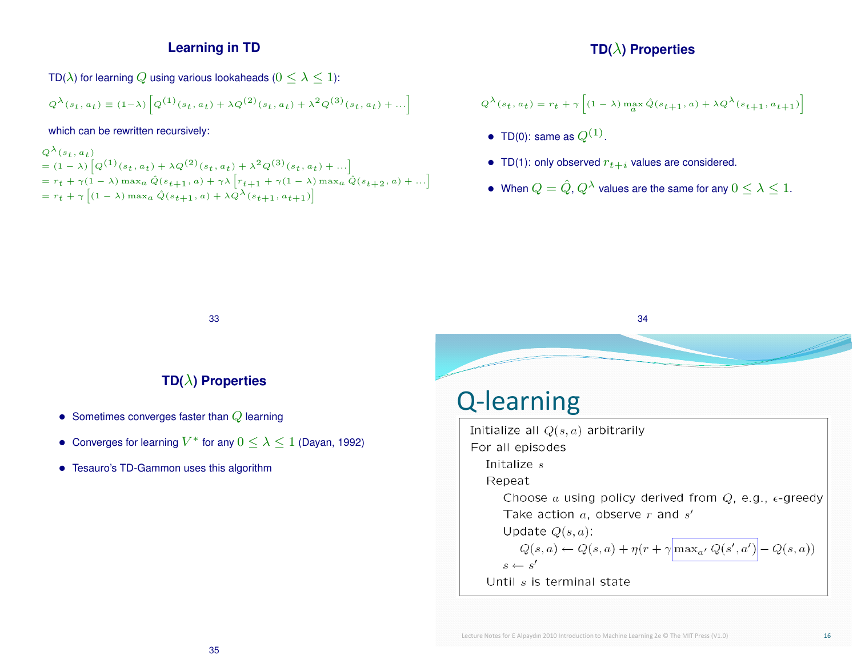## **Learning in TD**

TD( $\lambda$ ) for learning Q using various lookaheads ( $0 \leq \lambda \leq 1$ ):

$$
Q^{\lambda}(s_t, a_t) \equiv (1-\lambda) \left[ Q^{(1)}(s_t, a_t) + \lambda Q^{(2)}(s_t, a_t) + \lambda^2 Q^{(3)}(s_t, a_t) + \ldots \right]
$$

which can be rewritten recursively:

$$
Q^{\lambda}(s_t, a_t)
$$
  
=  $(1 - \lambda) [Q^{(1)}(s_t, a_t) + \lambda Q^{(2)}(s_t, a_t) + \lambda^2 Q^{(3)}(s_t, a_t) + ...]$   
=  $r_t + \gamma (1 - \lambda) \max_a \hat{Q}(s_{t+1}, a) + \gamma \lambda [r_{t+1} + \gamma (1 - \lambda) \max_a \hat{Q}(s_{t+2}, a) + ...]$   
=  $r_t + \gamma [(1 - \lambda) \max_a \hat{Q}(s_{t+1}, a) + \lambda Q^{\lambda}(s_{t+1}, a_{t+1})]$ 

## **TD(**λ**) Properties**

$$
Q^{\lambda}(s_t, a_t) = r_t + \gamma \left[ (1 - \lambda) \max_{a} \hat{Q}(s_{t+1}, a) + \lambda Q^{\lambda}(s_{t+1}, a_{t+1}) \right]
$$

- TD(0): same as  $Q^{(1)}$ .
- TD(1): only observed  $r_{t+i}$  values are considered.
- When  $Q = \hat{Q}, Q^{\lambda}$  values are the same for any  $0 \leq \lambda \leq 1$ .

34

33

## **TD(**λ**) Properties**

- Sometimes converges faster than  $Q$  learning
- Converges for learning  $V^*$  for any  $0 \leq \lambda \leq 1$  (Dayan, 1992)
- Tesauro's TD-Gammon uses this algorithm

Q-learning Initialize all  $Q(s, a)$  arbitrarily For all episodes Initalize  $s$ Repeat Choose a using policy derived from  $Q$ , e.g.,  $\epsilon$ -greedy Take action  $a$ , observe  $r$  and  $s'$ Update  $Q(s, a)$ :  $Q(s,a) \leftarrow Q(s,a) + \eta(r + \gamma \boxed{\max_{a'} Q(s',a')} - Q(s,a))$  $s \leftarrow s'$ Until  $s$  is terminal state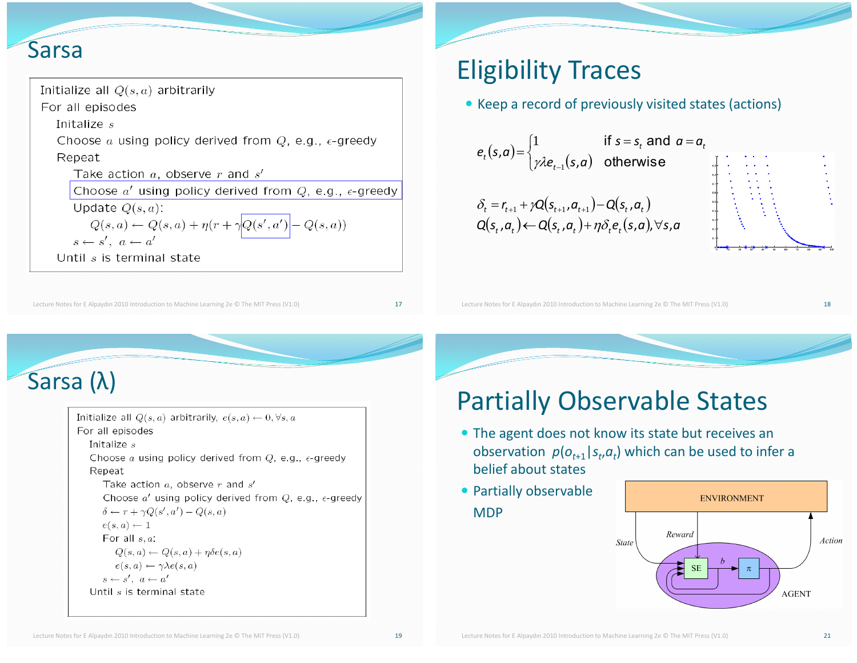## **Sarsa**

| Initialize all $Q(s,a)$ arbitrarily                                      |
|--------------------------------------------------------------------------|
| For all episodes                                                         |
| Initalize s                                                              |
| Choose a using policy derived from $Q$ , e.g., $\epsilon$ -greedy        |
| Repeat                                                                   |
| Take action $a$ , observe $r$ and $s'$                                   |
| Choose $a'$ using policy derived from $Q$ , e.g., $\epsilon$ -greedy     |
| Update $Q(s, a)$ :                                                       |
| $Q(s,a) \leftarrow Q(s,a) + \eta (r + \gamma \boxed{Q(s',a')} - Q(s,a))$ |
| $s \leftarrow s'$ , $a \leftarrow a'$                                    |
| Until s is terminal state                                                |

Lecture Notes for E Alpaydın 2010 Introduction to Machine Learning 2e © The MIT Press (V1.0)

# **Eligibility Traces**

• Keep a record of previously visited states (actions)

$$
e_t(s,a) = \begin{cases} 1 & \text{if } s = s_t \text{ and } a = \\ \gamma \lambda e_{t-1}(s,a) & \text{otherwise} \end{cases}
$$
  

$$
\delta_t = r_{t+1} + \gamma Q(s_{t+1}, a_{t+1}) - Q(s_t, a_t)
$$
  

$$
Q(s_t, a_t) \leftarrow Q(s_t, a_t) + \eta \delta_t e_t(s,a_t) \forall s, a
$$



Lecture Notes for E Alpaydın 2010 Introduction to Machine Learning 2e @ The MIT Press (V1.0)

# Sarsa $(\lambda)$

Initialize all  $Q(s, a)$  arbitrarily,  $e(s, a) \leftarrow 0, \forall s, a$ For all episodes Initalize  $s$ Choose a using policy derived from  $Q$ , e.g.,  $\epsilon$ -greedy Repeat Take action  $a$ , observe  $r$  and  $s'$ Choose  $a'$  using policy derived from Q, e.g.,  $\epsilon$ -greedy  $\delta \leftarrow r + \gamma Q(s', a') - Q(s, a)$  $e(s,a) \leftarrow 1$ For all  $s, a$ :  $Q(s, a) \leftarrow Q(s, a) + \eta \delta e(s, a)$  $e(s,a) \leftarrow \gamma \lambda e(s,a)$  $s \leftarrow s'$ ,  $a \leftarrow a'$ Until s is terminal state

# **Partially Observable States**

- The agent does not know its state but receives an observation  $p(o_{t+1} | s_t, a_t)$  which can be used to infer a belief about states
- Partially observable **MDP**



17

18